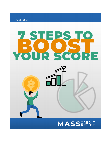**JUNE 2021** 

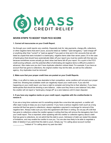

# **SEVEN STEPS TO BOOST YOUR FICO SCORE**

# **1. Correct all inaccuracies on your Credit Report.**

Go through your credit reports very carefully. Especially look for; late payments, charge-offs, collections or other negative items that aren't yours, accounts listed as "settled," "paid derogatory," "paid charge-off" or anything other than "current" or "paid as agreed" if you paid on time and in full, accounts that are still listed as unpaid that were included in a bankruptcy, negative items older than seven years (10 in the case of bankruptcy) that should have automatically fallen off your report (you must be careful with this last one, because sometimes scores actually go down when bad items fall off your report. It's a quirk in the FICO credit-scoring software, and the potential effect of eliminating old negative items is difficult to predict in advance). Also make sure you don't have duplicate collection notices listed. For example; if you have an account that has gone to collections, the original creditor may list the debt, as well as the collection agency. Any duplicates must be removed!

#### **2. Make sure that your proper credit lines are posted on your Credit Reports.**

Often, in an effort to make you less desirable to their competitors, some creditors will not post your proper credit line. Showing less available credit can negatively impact your credit score. If you see this happening on your credit report, you have a right to complain and bring this to their attention. If you have bankruptcies that should be showing a zero balance…make sure they show a zero balance! Very often the creditor will not report a "bankruptcy charge-off" as a zero balance until it's been disputed.

# **3. If you have any negative marks on your credit report, negotiate with the creditor/lender to remove it.**

If you are a long time customer and it's something simple like a one-time late payment, a creditor will often wipe it away to keep you as a loyal customer. If you have a serious negative mark (such as a long overdue bill that has gone to collections), always negotiate a payment in exchange for removal of the negative item. Always make sure you have this agreement with them in writing. Do not pay off a bill that has gone to collections unless the creditor agrees in writing that they will remove the derogatory item from your credit report. This is important; when speaking with the creditor or collection agency about a debt that has gone to collections, do not admit that the debt is yours. Admission of debt can restart the statute of limitations, and may enable the creditor to sue you. You are also less likely to be able to negotiate a letter of deletion if you admit that this debt is yours. Simply say "I'm calling about account number " instead of "I'm calling about my past due debt."